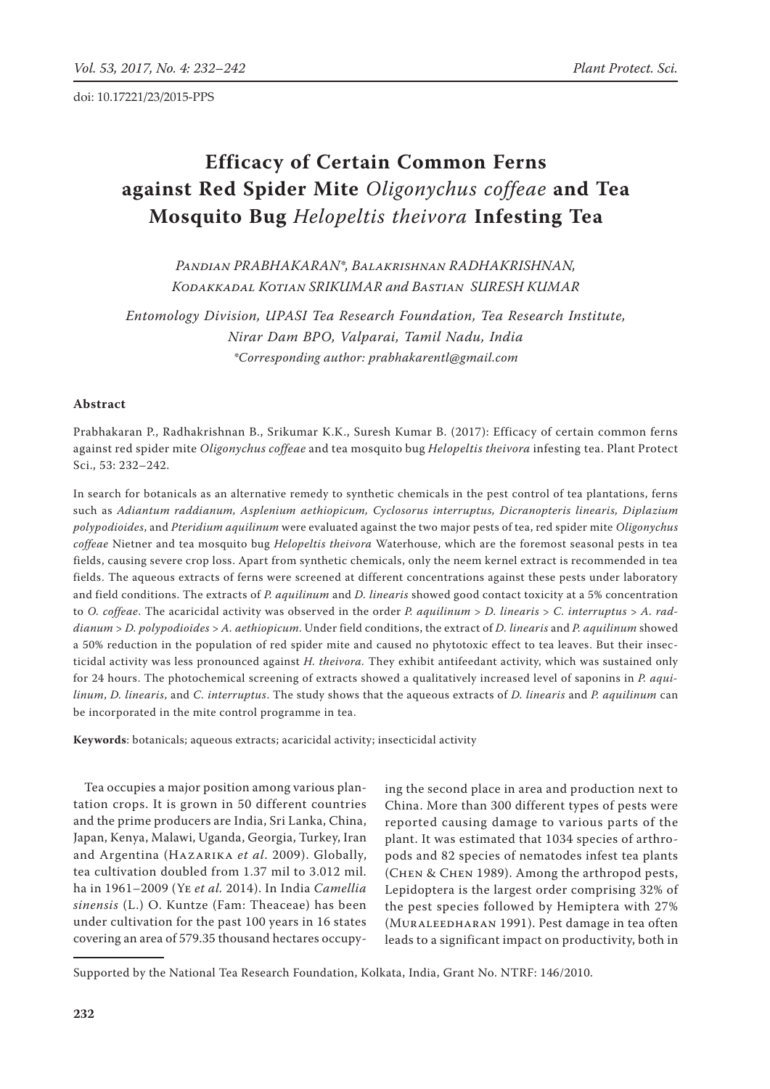# **Efficacy of Certain Common Ferns against Red Spider Mite** *Oligonychus coffeae* **and Tea Mosquito Bug** *Helopeltis theivora* **Infesting Tea**

*Pandian Prabhakaran\*, Balakrishnan Radhakrishnan, Kodakkadal Kotian Srikumar and Bastian Suresh Kumar*

*Entomology Division, UPASI Tea Research Foundation, Tea Research Institute, Nirar Dam BPO, Valparai, Tamil Nadu, India \*Corresponding author: prabhakarentl@gmail.com*

# **Abstract**

Prabhakaran P., Radhakrishnan B., Srikumar K.K., Suresh Kumar B. (2017): Efficacy of certain common ferns against red spider mite *Oligonychus coffeae* and tea mosquito bug *Helopeltis theivora* infesting tea. Plant Protect Sci., 53: 232–242.

In search for botanicals as an alternative remedy to synthetic chemicals in the pest control of tea plantations, ferns such as *Adiantum raddianum, Asplenium aethiopicum, Cyclosorus interruptus, Dicranopteris linearis, Diplazium polypodioides*, and *Pteridium aquilinum* were evaluated against the two major pests of tea, red spider mite *Oligonychus coffeae* Nietner and tea mosquito bug *Helopeltis theivora* Waterhouse, which are the foremost seasonal pests in tea fields, causing severe crop loss. Apart from synthetic chemicals, only the neem kernel extract is recommended in tea fields. The aqueous extracts of ferns were screened at different concentrations against these pests under laboratory and field conditions. The extracts of *P. aquilinum* and *D. linearis* showed good contact toxicity at a 5% concentration to *O. coffeae*. The acaricidal activity was observed in the order *P. aquilinum* > *D. linearis* > *C. interruptus* > *A. raddianum* > *D. polypodioides* > *A. aethiopicum*. Under field conditions, the extract of *D. linearis* and *P. aquilinum* showed a 50% reduction in the population of red spider mite and caused no phytotoxic effect to tea leaves. But their insecticidal activity was less pronounced against *H. theivora.* They exhibit antifeedant activity, which was sustained only for 24 hours. The photochemical screening of extracts showed a qualitatively increased level of saponins in *P. aquilinum*, *D. linearis*, and *C. interruptus*. The study shows that the aqueous extracts of *D. linearis* and *P. aquilinum* can be incorporated in the mite control programme in tea.

**Keywords**: botanicals; aqueous extracts; acaricidal activity; insecticidal activity

Tea occupies a major position among various plantation crops. It is grown in 50 different countries and the prime producers are India, Sri Lanka, China, Japan, Kenya, Malawi, Uganda, Georgia, Turkey, Iran and Argentina (Hazarika *et al*. 2009). Globally, tea cultivation doubled from 1.37 mil to 3.012 mil. ha in 1961–2009 (Ye *et al.* 2014). In India *Camellia sinensis* (L.) O. Kuntze (Fam: Theaceae) has been under cultivation for the past 100 years in 16 states covering an area of 579.35 thousand hectares occupy-

ing the second place in area and production next to China. More than 300 different types of pests were reported causing damage to various parts of the plant. It was estimated that 1034 species of arthropods and 82 species of nematodes infest tea plants (Chen & Chen 1989). Among the arthropod pests, Lepidoptera is the largest order comprising 32% of the pest species followed by Hemiptera with 27% (Muraleedharan 1991). Pest damage in tea often leads to a significant impact on productivity, both in

Supported by the National Tea Research Foundation, Kolkata, India, Grant No. NTRF: 146/2010.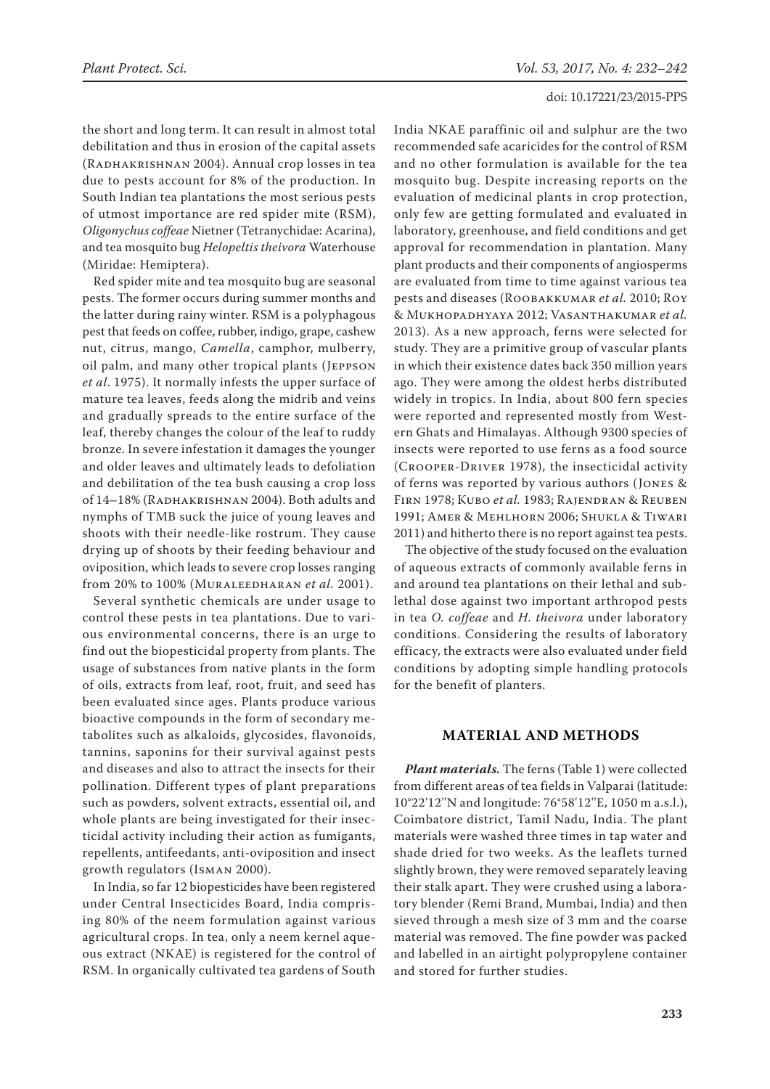the short and long term. It can result in almost total debilitation and thus in erosion of the capital assets (Radhakrishnan 2004). Annual crop losses in tea due to pests account for 8% of the production. In South Indian tea plantations the most serious pests of utmost importance are red spider mite (RSM), *Oligonychus coffeae* Nietner (Tetranychidae: Acarina), and tea mosquito bug *Helopeltis theivora* Waterhouse (Miridae: Hemiptera).

Red spider mite and tea mosquito bug are seasonal pests. The former occurs during summer months and the latter during rainy winter. RSM is a polyphagous pest that feeds on coffee, rubber, indigo, grape, cashew nut, citrus, mango, *Camella*, camphor, mulberry, oil palm, and many other tropical plants (Jeppson *et al*. 1975). It normally infests the upper surface of mature tea leaves, feeds along the midrib and veins and gradually spreads to the entire surface of the leaf, thereby changes the colour of the leaf to ruddy bronze. In severe infestation it damages the younger and older leaves and ultimately leads to defoliation and debilitation of the tea bush causing a crop loss of 14-18% (RADHAKRISHNAN 2004). Both adults and nymphs of TMB suck the juice of young leaves and shoots with their needle-like rostrum. They cause drying up of shoots by their feeding behaviour and oviposition, which leads to severe crop losses ranging from 20% to 100% (Muraleedharan *et al.* 2001).

Several synthetic chemicals are under usage to control these pests in tea plantations. Due to various environmental concerns, there is an urge to find out the biopesticidal property from plants. The usage of substances from native plants in the form of oils, extracts from leaf, root, fruit, and seed has been evaluated since ages. Plants produce various bioactive compounds in the form of secondary metabolites such as alkaloids, glycosides, flavonoids, tannins, saponins for their survival against pests and diseases and also to attract the insects for their pollination. Different types of plant preparations such as powders, solvent extracts, essential oil, and whole plants are being investigated for their insecticidal activity including their action as fumigants, repellents, antifeedants, anti-oviposition and insect growth regulators (Isman 2000).

In India, so far 12 biopesticides have been registered under Central Insecticides Board, India comprising 80% of the neem formulation against various agricultural crops. In tea, only a neem kernel aqueous extract (NKAE) is registered for the control of RSM. In organically cultivated tea gardens of South

India NKAE paraffinic oil and sulphur are the two recommended safe acaricides for the control of RSM and no other formulation is available for the tea mosquito bug. Despite increasing reports on the evaluation of medicinal plants in crop protection, only few are getting formulated and evaluated in laboratory, greenhouse, and field conditions and get approval for recommendation in plantation. Many plant products and their components of angiosperms are evaluated from time to time against various tea pests and diseases (Roobakkumar *et al.* 2010; Roy & Mukhopadhyaya 2012; Vasanthakumar *et al.* 2013). As a new approach, ferns were selected for study. They are a primitive group of vascular plants in which their existence dates back 350 million years ago. They were among the oldest herbs distributed widely in tropics. In India, about 800 fern species were reported and represented mostly from Western Ghats and Himalayas. Although 9300 species of insects were reported to use ferns as a food source (Crooper-Driver 1978), the insecticidal activity of ferns was reported by various authors (Jones & Firn 1978; Kubo *et al.* 1983; Rajendran & Reuben 1991; Amer & Mehlhorn 2006; Shukla & Tiwari 2011) and hitherto there is no report against tea pests.

The objective of the study focused on the evaluation of aqueous extracts of commonly available ferns in and around tea plantations on their lethal and sublethal dose against two important arthropod pests in tea *O. coffeae* and *H. theivora* under laboratory conditions. Considering the results of laboratory efficacy, the extracts were also evaluated under field conditions by adopting simple handling protocols for the benefit of planters.

# **Material and methods**

*Plant materials.* The ferns (Table 1) were collected from different areas of tea fields in Valparai (latitude: 10°22'12''N and longitude: 76°58'12''E, 1050 m a.s.l.), Coimbatore district, Tamil Nadu, India. The plant materials were washed three times in tap water and shade dried for two weeks. As the leaflets turned slightly brown, they were removed separately leaving their stalk apart. They were crushed using a laboratory blender (Remi Brand, Mumbai, India) and then sieved through a mesh size of 3 mm and the coarse material was removed. The fine powder was packed and labelled in an airtight polypropylene container and stored for further studies.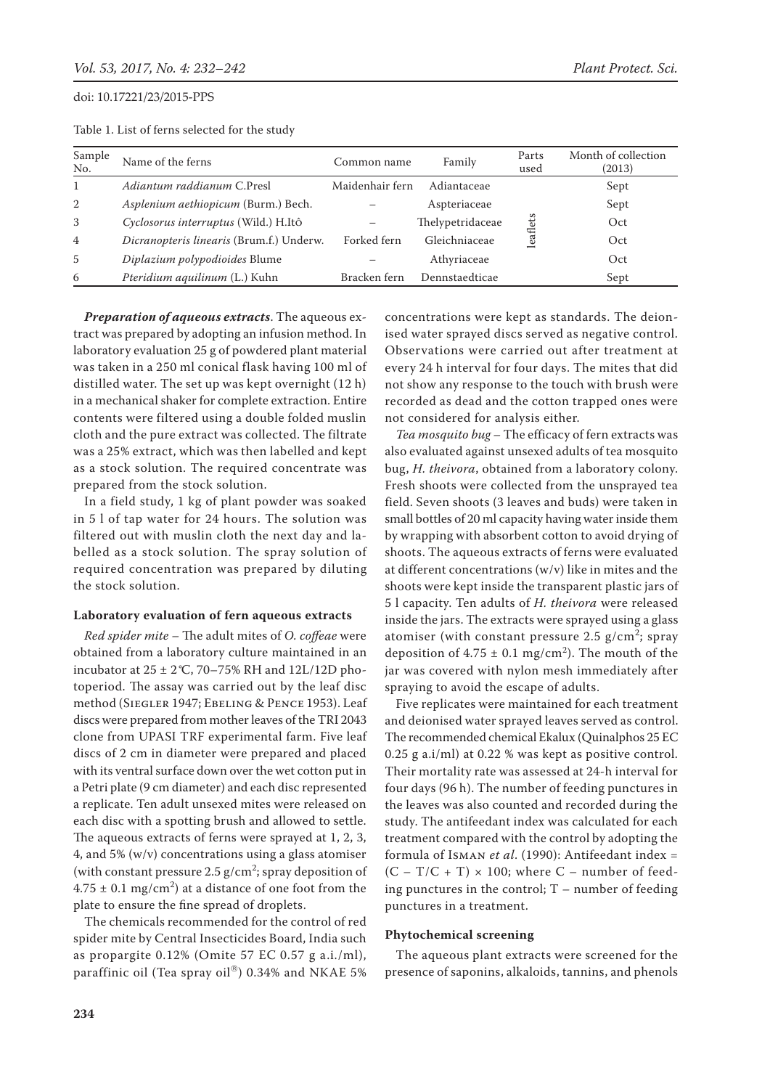| Sample<br>No.  | Name of the ferns                        | Common name     | Family           | Parts<br>used     | Month of collection<br>(2013) |
|----------------|------------------------------------------|-----------------|------------------|-------------------|-------------------------------|
|                | Adiantum raddianum C.Presl               | Maidenhair fern | Adiantaceae      |                   | Sept                          |
| 2              | Asplenium aethiopicum (Burm.) Bech.      |                 | Aspteriaceae     |                   | Sept                          |
| 3              | Cyclosorus interruptus (Wild.) H.Itô     |                 | Thelypetridaceae |                   | Oct                           |
| $\overline{4}$ | Dicranopteris linearis (Brum.f.) Underw. | Forked fern     | Gleichniaceae    | $_{\rm{leaflet}}$ | Oct                           |
| 5              | Diplazium polypodioides Blume            |                 | Athyriaceae      |                   | Oct                           |
| 6              | Pteridium aquilinum (L.) Kuhn            | Bracken fern    | Dennstaedticae   |                   | Sept                          |

*Preparation of aqueous extracts*. The aqueous extract was prepared by adopting an infusion method. In laboratory evaluation 25 g of powdered plant material was taken in a 250 ml conical flask having 100 ml of distilled water. The set up was kept overnight (12 h) in a mechanical shaker for complete extraction. Entire contents were filtered using a double folded muslin cloth and the pure extract was collected. The filtrate was a 25% extract, which was then labelled and kept as a stock solution. The required concentrate was prepared from the stock solution.

In a field study, 1 kg of plant powder was soaked in 5 l of tap water for 24 hours. The solution was filtered out with muslin cloth the next day and labelled as a stock solution. The spray solution of required concentration was prepared by diluting the stock solution.

#### **Laboratory evaluation of fern aqueous extracts**

*Red spider mite –* The adult mites of *O. coffeae* were obtained from a laboratory culture maintained in an incubator at 25 ± 2*°*C, 70–75% RH and 12L/12D photoperiod. The assay was carried out by the leaf disc method (Siegler 1947; Ebeling & Pence 1953). Leaf discs were prepared from mother leaves of the TRI 2043 clone from UPASI TRF experimental farm. Five leaf discs of 2 cm in diameter were prepared and placed with its ventral surface down over the wet cotton put in a Petri plate (9 cm diameter) and each disc represented a replicate. Ten adult unsexed mites were released on each disc with a spotting brush and allowed to settle. The aqueous extracts of ferns were sprayed at 1, 2, 3, 4, and 5% (w/v) concentrations using a glass atomiser (with constant pressure 2.5 g/cm<sup>2</sup>; spray deposition of  $4.75 \pm 0.1$  mg/cm<sup>2</sup>) at a distance of one foot from the plate to ensure the fine spread of droplets.

The chemicals recommended for the control of red spider mite by Central Insecticides Board, India such as propargite 0.12% (Omite 57 EC 0.57 g a.i./ml), paraffinic oil (Tea spray oil®) 0.34% and NKAE 5%

concentrations were kept as standards. The deionised water sprayed discs served as negative control. Observations were carried out after treatment at every 24 h interval for four days. The mites that did not show any response to the touch with brush were recorded as dead and the cotton trapped ones were not considered for analysis either.

*Tea mosquito bug –* The efficacy of fern extracts was also evaluated against unsexed adults of tea mosquito bug, *H. theivora*, obtained from a laboratory colony. Fresh shoots were collected from the unsprayed tea field. Seven shoots (3 leaves and buds) were taken in small bottles of 20 ml capacity having water inside them by wrapping with absorbent cotton to avoid drying of shoots. The aqueous extracts of ferns were evaluated at different concentrations (w/v) like in mites and the shoots were kept inside the transparent plastic jars of 5 l capacity. Ten adults of *H. theivora* were released inside the jars. The extracts were sprayed using a glass atomiser (with constant pressure  $2.5$  g/cm<sup>2</sup>; spray deposition of  $4.75 \pm 0.1$  mg/cm<sup>2</sup>). The mouth of the jar was covered with nylon mesh immediately after spraying to avoid the escape of adults.

Five replicates were maintained for each treatment and deionised water sprayed leaves served as control. The recommended chemical Ekalux (Quinalphos 25 EC 0.25 g a.i/ml) at 0.22 % was kept as positive control. Their mortality rate was assessed at 24-h interval for four days (96 h). The number of feeding punctures in the leaves was also counted and recorded during the study. The antifeedant index was calculated for each treatment compared with the control by adopting the formula of Isman *et al*. (1990): Antifeedant index =  $(C - T/C + T) \times 100$ ; where C – number of feeding punctures in the control;  $T$  – number of feeding punctures in a treatment.

#### **Phytochemical screening**

The aqueous plant extracts were screened for the presence of saponins, alkaloids, tannins, and phenols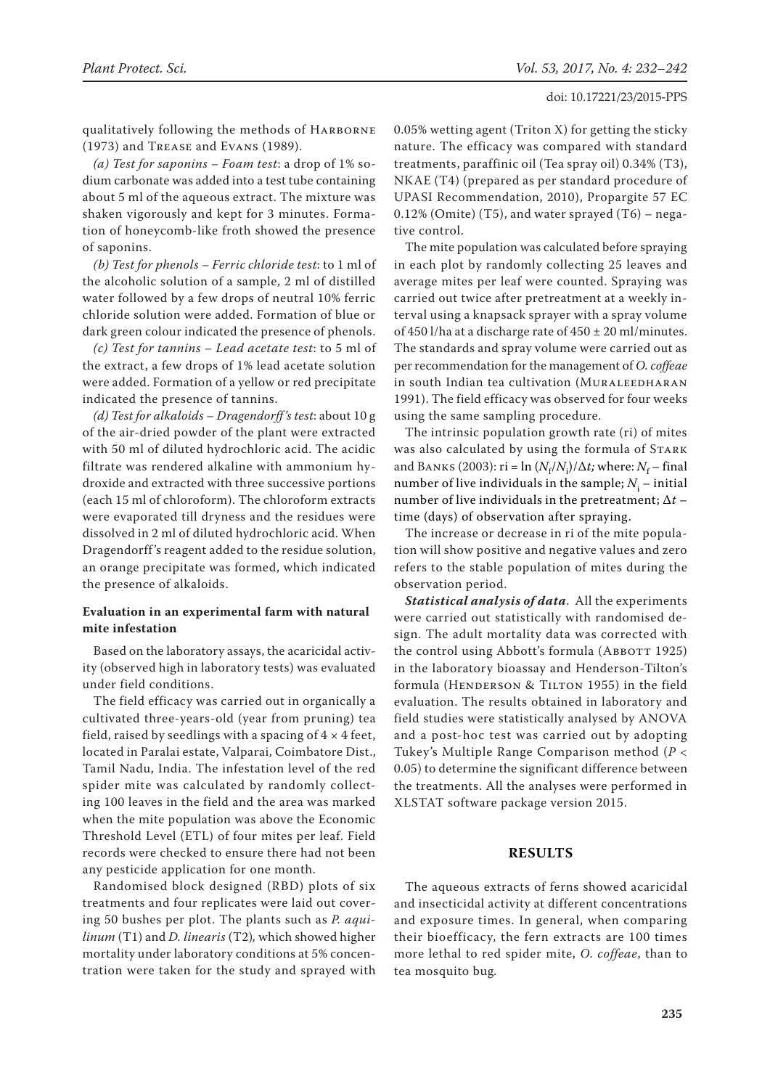qualitatively following the methods of Harborne (1973) and Trease and Evans (1989).

*(a) Test for saponins – Foam test*: a drop of 1% sodium carbonate was added into a test tube containing about 5 ml of the aqueous extract. The mixture was shaken vigorously and kept for 3 minutes. Formation of honeycomb-like froth showed the presence of saponins.

*(b) Test for phenols – Ferric chloride test*: to 1 ml of the alcoholic solution of a sample, 2 ml of distilled water followed by a few drops of neutral 10% ferric chloride solution were added. Formation of blue or dark green colour indicated the presence of phenols.

*(c) Test for tannins – Lead acetate test*: to 5 ml of the extract, a few drops of 1% lead acetate solution were added. Formation of a yellow or red precipitate indicated the presence of tannins.

*(d) Test for alkaloids – Dragendorff 's test*: about 10 g of the air-dried powder of the plant were extracted with 50 ml of diluted hydrochloric acid. The acidic filtrate was rendered alkaline with ammonium hydroxide and extracted with three successive portions (each 15 ml of chloroform). The chloroform extracts were evaporated till dryness and the residues were dissolved in 2 ml of diluted hydrochloric acid. When Dragendorff 's reagent added to the residue solution, an orange precipitate was formed, which indicated the presence of alkaloids.

# **Evaluation in an experimental farm with natural mite infestation**

Based on the laboratory assays, the acaricidal activity (observed high in laboratory tests) was evaluated under field conditions.

The field efficacy was carried out in organically a cultivated three-years-old (year from pruning) tea field, raised by seedlings with a spacing of  $4 \times 4$  feet, located in Paralai estate, Valparai, Coimbatore Dist., Tamil Nadu, India. The infestation level of the red spider mite was calculated by randomly collecting 100 leaves in the field and the area was marked when the mite population was above the Economic Threshold Level (ETL) of four mites per leaf. Field records were checked to ensure there had not been any pesticide application for one month.

Randomised block designed (RBD) plots of six treatments and four replicates were laid out covering 50 bushes per plot. The plants such as *P. aquilinum* (T1) and *D. linearis* (T2)*,* which showed higher mortality under laboratory conditions at 5% concentration were taken for the study and sprayed with 0.05% wetting agent (Triton X) for getting the sticky nature. The efficacy was compared with standard treatments, paraffinic oil (Tea spray oil) 0.34% (T3), NKAE (T4) (prepared as per standard procedure of UPASI Recommendation, 2010), Propargite 57 EC  $0.12\%$  (Omite) (T5), and water sprayed (T6) – negative control.

The mite population was calculated before spraying in each plot by randomly collecting 25 leaves and average mites per leaf were counted. Spraying was carried out twice after pretreatment at a weekly interval using a knapsack sprayer with a spray volume of 450 l/ha at a discharge rate of  $450 \pm 20$  ml/minutes. The standards and spray volume were carried out as per recommendation for the management of *O. coffeae*  in south Indian tea cultivation (Muraleedharan 1991). The field efficacy was observed for four weeks using the same sampling procedure.

The intrinsic population growth rate (ri) of mites was also calculated by using the formula of STARK and BANKS (2003): ri =  $\ln (N_f/N_i)/\Delta t$ ; where:  $N_f$  – final number of live individuals in the sample;  $N_i$  – initial number of live individuals in the pretreatment; ∆*t* – time (days) of observation after spraying.

The increase or decrease in ri of the mite population will show positive and negative values and zero refers to the stable population of mites during the observation period.

*Statistical analysis of data*. All the experiments were carried out statistically with randomised design. The adult mortality data was corrected with the control using Abbott's formula (ABBOTT 1925) in the laboratory bioassay and Henderson-Tilton's formula (HENDERSON & TILTON 1955) in the field evaluation. The results obtained in laboratory and field studies were statistically analysed by ANOVA and a post-hoc test was carried out by adopting Tukey's Multiple Range Comparison method (*P* < 0.05) to determine the significant difference between the treatments. All the analyses were performed in XLSTAT software package version 2015.

#### **Results**

The aqueous extracts of ferns showed acaricidal and insecticidal activity at different concentrations and exposure times. In general, when comparing their bioefficacy, the fern extracts are 100 times more lethal to red spider mite, *O. coffeae*, than to tea mosquito bug*.*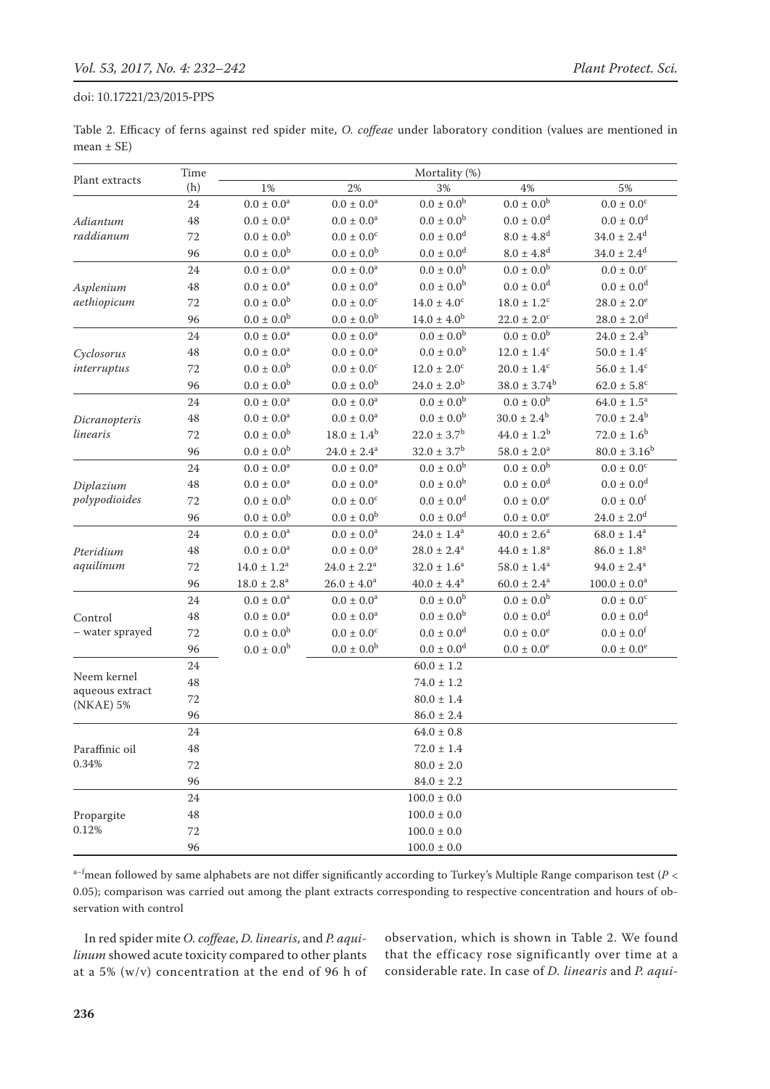|                |  |  |  |  | Table 2. Efficacy of ferns against red spider mite, O. coffeae under laboratory condition (values are mentioned in |  |  |  |
|----------------|--|--|--|--|--------------------------------------------------------------------------------------------------------------------|--|--|--|
| mean $\pm$ SE) |  |  |  |  |                                                                                                                    |  |  |  |

|                              | Time     |                       |                        | Mortality (%)              |                             |                             |
|------------------------------|----------|-----------------------|------------------------|----------------------------|-----------------------------|-----------------------------|
| Plant extracts               | (h)      | 1%                    | 2%                     | 3%                         | 4%                          | 5%                          |
|                              | 24       | $0.0\pm0.0^{\rm a}$   | $0.0\pm0.0^{\rm a}$    | $0.0\pm0.0^{\rm b}$        | $0.0\pm0.0^{\rm b}$         | $0.0\pm0.0^{\rm c}$         |
| Adiantum                     | 48       | $0.0 \pm 0.0^a$       | $0.0 \pm 0.0^a$        | $0.0 \pm 0.0^{\rm b}$      | $0.0 \pm 0.0$ <sup>d</sup>  | $0.0 \pm 0.0$ <sup>d</sup>  |
| raddianum                    | 72       | $0.0 \pm 0.0^{\rm b}$ | $0.0 \pm 0.0^{\circ}$  | $0.0\pm0.0^{\rm d}$        | $8.0 \pm 4.8$ <sup>d</sup>  | $34.0 \pm 2.4$ <sup>d</sup> |
|                              | 96       | $0.0\pm0.0^{\rm b}$   | $0.0 \pm 0.0^b$        | $0.0 \pm 0.0$ <sup>d</sup> | $8.0 \pm 4.8$ <sup>d</sup>  | $34.0 \pm 2.4^d$            |
|                              | 24       | $0.0 \pm 0.0^a$       | $0.0 \pm 0.0^a$        | $0.0 \pm 0.0^{\rm b}$      | $0.0 \pm 0.0^{\rm b}$       | $0.0\pm0.0^{\rm c}$         |
| Asplenium                    | 48       | $0.0 \pm 0.0^a$       | $0.0 \pm 0.0^a$        | $0.0 \pm 0.0^{\rm b}$      | $0.0 \pm 0.0^d$             | $0.0 \pm 0.0$ <sup>d</sup>  |
| aethiopicum                  | 72       | $0.0 \pm 0.0^b$       | $0.0 \pm 0.0^{\circ}$  | $14.0 \pm 4.0^c$           | $18.0 \pm 1.2$ <sup>c</sup> | $28.0 \pm 2.0^e$            |
|                              | 96       | $0.0\pm0.0^{\rm b}$   | $0.0 \pm 0.0^{\rm b}$  | $14.0 \pm 4.0^b$           | $22.0 \pm 2.0^{\circ}$      | $28.0 \pm 2.0$ <sup>d</sup> |
|                              | 24       | $0.0 \pm 0.0^a$       | $0.0 \pm 0.0^a$        | $0.0 \pm 0.0^{\rm b}$      | $0.0\pm0.0^{\rm b}$         | $24.0 \pm 2.4^b$            |
| Cyclosorus                   | 48       | $0.0 \pm 0.0^a$       | $0.0 \pm 0.0^a$        | $0.0 \pm 0.0^{\rm b}$      | $12.0 \pm 1.4$ <sup>c</sup> | $50.0 \pm 1.4$ <sup>c</sup> |
| interruptus                  | 72       | $0.0 \pm 0.0^{\rm b}$ | $0.0 \pm 0.0^{\circ}$  | $12.0 \pm 2.0^c$           | $20.0 \pm 1.4$ <sup>c</sup> | $56.0 \pm 1.4^c$            |
|                              | 96       | $0.0 \pm 0.0^{\rm b}$ | $0.0 \pm 0.0^{\rm b}$  | $24.0 \pm 2.0^b$           | $38.0 \pm 3.74^b$           | $62.0 \pm 5.8$ <sup>c</sup> |
|                              | 24       | $0.0 \pm 0.0^a$       | $0.0 \pm 0.0^a$        | $0.0 \pm 0.0^{\rm b}$      | $0.0 \pm 0.0^{\rm b}$       | $64.0 \pm 1.5^a$            |
| Dicranopteris                | 48       | $0.0 \pm 0.0^a$       | $0.0 \pm 0.0^a$        | $0.0\pm0.0^{\rm b}$        | $30.0 \pm 2.4^b$            | $70.0 \pm 2.4^b$            |
| linearis                     | 72       | $0.0 \pm 0.0^{\rm b}$ | $18.0 \pm 1.4^b$       | $22.0 \pm 3.7^{\rm b}$     | $44.0 \pm 1.2^b$            | $72.0 \pm 1.6^b$            |
|                              | 96       | $0.0\pm0.0^{\rm b}$   | $24.0 \pm 2.4^a$       | $32.0\pm3.7^{\rm b}$       | $58.0 \pm 2.0^a$            | $80.0 \pm 3.16^b$           |
|                              | 24       | $0.0 \pm 0.0^a$       | $0.0 \pm 0.0^a$        | $0.0\pm0.0^{\rm b}$        | $0.0 \pm 0.0^{\rm b}$       | $0.0 \pm 0.0^{\circ}$       |
| Diplazium                    | 48       | $0.0 \pm 0.0^a$       | $0.0 \pm 0.0^a$        | $0.0 \pm 0.0^{\rm b}$      | $0.0 \pm 0.0$ <sup>d</sup>  | $0.0 \pm 0.0$ <sup>d</sup>  |
| polypodioides                | 72       | $0.0 \pm 0.0^{\rm b}$ | $0.0 \pm 0.0^{\circ}$  | $0.0 \pm 0.0$ <sup>d</sup> | $0.0 \pm 0.0^e$             | $0.0 \pm 0.0^f$             |
|                              | 96       | $0.0\pm0.0^{\rm b}$   | $0.0\pm0.0^{\rm b}$    | $0.0 \pm 0.0$ <sup>d</sup> | $0.0\pm0.0^{\rm e}$         | $24.0 \pm 2.0$ <sup>d</sup> |
|                              | 24       | $0.0 \pm 0.0^a$       | $0.0 \pm 0.0^a$        | $24.0 \pm 1.4^a$           | $40.0 \pm 2.6^a$            | $68.0 \pm 1.4^a$            |
| Pteridium                    | 48       | $0.0 \pm 0.0^a$       | $0.0 \pm 0.0^a$        | $28.0 \pm 2.4^a$           | $44.0 \pm 1.8^a$            | $86.0 \pm 1.8^a$            |
| aquilinum                    | 72       | $14.0 \pm 1.2^a$      | $24.0 \pm 2.2^a$       | $32.0 \pm 1.6^a$           | $58.0 \pm 1.4^a$            | $94.0 \pm 2.4^a$            |
|                              | 96       | $18.0 \pm 2.8^a$      | $26.0 \pm 4.0^{\rm a}$ | $40.0 \pm 4.4^a$           | $60.0 \pm 2.4^a$            | $100.0\pm0.0^{\rm a}$       |
|                              | 24       | $0.0 \pm 0.0^a$       | $0.0 \pm 0.0^a$        | $0.0 \pm 0.0^{\rm b}$      | $0.0\pm0.0^{\rm b}$         | $0.0\pm0.0^{\rm c}$         |
| Control                      | 48       | $0.0 \pm 0.0^a$       | $0.0 \pm 0.0^a$        | $0.0 \pm 0.0^{\rm b}$      | $0.0 \pm 0.0^d$             | $0.0 \pm 0.0$ <sup>d</sup>  |
| – water sprayed              | 72       | $0.0 \pm 0.0^{\rm b}$ | $0.0 \pm 0.0^{\circ}$  | $0.0 \pm 0.0$ <sup>d</sup> | $0.0 \pm 0.0^e$             | $0.0 \pm 0.0^{\rm f}$       |
|                              | 96       | $0.0 \pm 0.0^{\rm b}$ | $0.0\pm0.0^{\rm b}$    | $0.0 \pm 0.0$ <sup>d</sup> | $0.0 \pm 0.0^e$             | $0.0\pm0.0^{\rm e}$         |
|                              | 24       |                       |                        | $60.0 \pm 1.2$             |                             |                             |
| Neem kernel                  | 48       |                       |                        | $74.0 \pm 1.2$             |                             |                             |
| aqueous extract<br>(NKAE) 5% | 72       |                       |                        | $80.0 \pm 1.4$             |                             |                             |
|                              | 96       |                       |                        | $86.0 \pm 2.4$             |                             |                             |
|                              | 24       |                       |                        | $64.0 \pm 0.8$             |                             |                             |
| Paraffinic oil               | 48       |                       |                        | $72.0 \pm 1.4$             |                             |                             |
| 0.34%                        | 72       |                       |                        | $80.0 \pm 2.0$             |                             |                             |
|                              | 96       |                       |                        | $84.0 \pm 2.2$             |                             |                             |
|                              | 24       |                       |                        | $100.0\pm0.0$              |                             |                             |
| Propargite                   | $\rm 48$ |                       |                        | $100.0\pm0.0$              |                             |                             |
| 0.12%                        | 72       |                       |                        | $100.0 \pm 0.0$            |                             |                             |
|                              | 96       |                       |                        | $100.0\pm0.0$              |                             |                             |

a–fmean followed by same alphabets are not differ significantly according to Turkey's Multiple Range comparison test (*P* < 0.05); comparison was carried out among the plant extracts corresponding to respective concentration and hours of observation with control

In red spider mite *O. coffeae*, *D. linearis*, and *P. aquilinum* showed acute toxicity compared to other plants at a 5% (w/v) concentration at the end of 96 h of observation, which is shown in Table 2. We found that the efficacy rose significantly over time at a considerable rate. In case of *D. linearis* and *P. aqui-*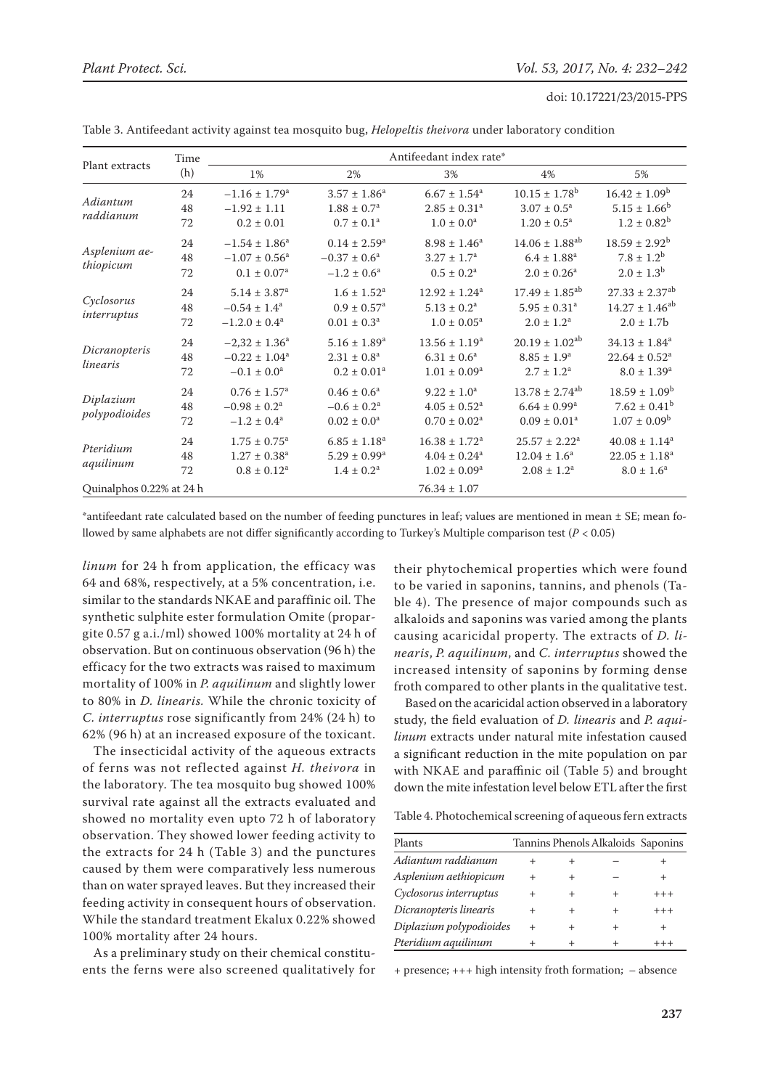|                            | Time           |                                                                                |                                                                     | Antifeedant index rate*                                                                |                                                                                              |                                                                            |
|----------------------------|----------------|--------------------------------------------------------------------------------|---------------------------------------------------------------------|----------------------------------------------------------------------------------------|----------------------------------------------------------------------------------------------|----------------------------------------------------------------------------|
| Plant extracts             | (h)            | 1%                                                                             | 2%                                                                  | 3%                                                                                     | 4%                                                                                           | 5%                                                                         |
| Adiantum<br>raddianum      | 24<br>48<br>72 | $-1.16 \pm 1.79$ <sup>a</sup><br>$-1.92 \pm 1.11$<br>$0.2 \pm 0.01$            | $3.57 \pm 1.86^a$<br>$1.88 \pm 0.7^a$<br>$0.7 \pm 0.1^a$            | $6.67 \pm 1.54^a$<br>$2.85 \pm 0.31$ <sup>a</sup><br>$1.0 \pm 0.0^a$                   | $10.15 \pm 1.78$ <sup>b</sup><br>$3.07 \pm 0.5^{\text{a}}$<br>$1.20 \pm 0.5^{\text{a}}$      | $16.42 \pm 1.09^b$<br>$5.15 \pm 1.66^b$<br>$1.2 \pm 0.82^b$                |
| Asplenium ae-<br>thiopicum | 24<br>48<br>72 | $-1.54 \pm 1.86^a$<br>$-1.07 \pm 0.56$ <sup>a</sup><br>$0.1 \pm 0.07^a$        | $0.14 \pm 2.59^{\rm a}$<br>$-0.37 \pm 0.6^a$<br>$-1.2 \pm 0.6^a$    | $8.98 \pm 1.46^a$<br>$3.27 \pm 1.7^a$<br>$0.5\pm0.2^{\rm a}$                           | $14.06 \pm 1.88$ <sup>ab</sup><br>$6.4 \pm 1.88$ <sup>a</sup><br>$2.0 \pm 0.26$ <sup>a</sup> | $18.59\pm2.92^{\rm b}$<br>$7.8 \pm 1.2^b$<br>$2.0 \pm 1.3^b$               |
| Cyclosorus<br>interruptus  | 24<br>48<br>72 | $5.14 \pm 3.87^{\rm a}$<br>$-0.54 \pm 1.4^a$<br>$-1.2.0 \pm 0.4$ <sup>a</sup>  | $1.6 \pm 1.52^a$<br>$0.9 \pm 0.57$ <sup>a</sup><br>$0.01 \pm 0.3^a$ | $12.92 \pm 1.24^a$<br>$5.13 \pm 0.2^a$<br>$1.0 \pm 0.05^a$                             | $17.49 \pm 1.85^{ab}$<br>$5.95 \pm 0.31^a$<br>$2.0 \pm 1.2^a$                                | $27.33 \pm 2.37$ <sup>ab</sup><br>$14.27 \pm 1.46^{ab}$<br>$2.0 \pm 1.7$ b |
| Dicranopteris<br>linearis  | 24<br>48<br>72 | $-2,32 \pm 1.36^a$<br>$-0.22 \pm 1.04^a$<br>$-0.1 \pm 0.0^a$                   | $5.16 \pm 1.89^a$<br>$2.31 \pm 0.8^a$<br>$0.2 \pm 0.01^a$           | $13.56 \pm 1.19^a$<br>$6.31 \pm 0.6^a$<br>$1.01 \pm 0.09^a$                            | $20.19 \pm 1.02^{ab}$<br>$8.85 \pm 1.9^a$<br>$2.7 \pm 1.2^a$                                 | $34.13 \pm 1.84^a$<br>$22.64 \pm 0.52^a$<br>$8.0 \pm 1.39^a$               |
| Diplazium<br>polypodioides | 24<br>48<br>72 | $0.76 \pm 1.57^{\rm a}$<br>$-0.98 \pm 0.2$ <sup>a</sup><br>$-1.2 \pm 0.4^a$    | $0.46 \pm 0.6^a$<br>$-0.6\pm0.2^{\rm a}$<br>$0.02 \pm 0.0^{\rm a}$  | $9.22 \pm 1.0^a$<br>$4.05 \pm 0.52^a$<br>$0.70 \pm 0.02^a$                             | $13.78 \pm 2.74$ <sup>ab</sup><br>$6.64 \pm 0.99^{\rm a}$<br>$0.09 \pm 0.01^a$               | $18.59 \pm 1.09^{\rm b}$<br>$7.62 \pm 0.41^b$<br>$1.07 \pm 0.09^{\rm b}$   |
| Pteridium<br>aquilinum     | 24<br>48<br>72 | $1.75 \pm 0.75^{\text{a}}$<br>$1.27 \pm 0.38$ <sup>a</sup><br>$0.8 \pm 0.12^a$ | $6.85 \pm 1.18^a$<br>$5.29 \pm 0.99^{\rm a}$<br>$1.4 \pm 0.2^a$     | $16.38 \pm 1.72^{\text{a}}$<br>$4.04 \pm 0.24$ <sup>a</sup><br>$1.02 \pm 0.09^{\rm a}$ | $25.57 \pm 2.22^a$<br>$12.04 \pm 1.6^a$<br>$2.08 \pm 1.2^a$                                  | $40.08 \pm 1.14^a$<br>$22.05 \pm 1.18^a$<br>$8.0 \pm 1.6^a$                |
| Quinalphos 0.22% at 24 h   |                |                                                                                |                                                                     | $76.34 \pm 1.07$                                                                       |                                                                                              |                                                                            |

Table 3. Antifeedant activity against tea mosquito bug, *Helopeltis theivora* under laboratory condition

\*antifeedant rate calculated based on the number of feeding punctures in leaf; values are mentioned in mean ± SE; mean followed by same alphabets are not differ significantly according to Turkey's Multiple comparison test (*P* < 0.05)

*linum* for 24 h from application, the efficacy was 64 and 68%, respectively, at a 5% concentration, i.e. similar to the standards NKAE and paraffinic oil. The synthetic sulphite ester formulation Omite (propargite 0.57 g a.i./ml) showed 100% mortality at 24 h of observation. But on continuous observation (96 h) the efficacy for the two extracts was raised to maximum mortality of 100% in *P. aquilinum* and slightly lower to 80% in *D. linearis.* While the chronic toxicity of *C. interruptus* rose significantly from 24% (24 h) to 62% (96 h) at an increased exposure of the toxicant.

The insecticidal activity of the aqueous extracts of ferns was not reflected against *H. theivora* in the laboratory. The tea mosquito bug showed 100% survival rate against all the extracts evaluated and showed no mortality even upto 72 h of laboratory observation. They showed lower feeding activity to the extracts for 24 h (Table 3) and the punctures caused by them were comparatively less numerous than on water sprayed leaves. But they increased their feeding activity in consequent hours of observation. While the standard treatment Ekalux 0.22% showed 100% mortality after 24 hours.

As a preliminary study on their chemical constituents the ferns were also screened qualitatively for

their phytochemical properties which were found to be varied in saponins, tannins, and phenols (Table 4). The presence of major compounds such as alkaloids and saponins was varied among the plants causing acaricidal property. The extracts of *D. linearis*, *P. aquilinum*, and *C. interruptus* showed the increased intensity of saponins by forming dense froth compared to other plants in the qualitative test.

Based on the acaricidal action observed in a laboratory study, the field evaluation of *D. linearis* and *P. aquilinum* extracts under natural mite infestation caused a significant reduction in the mite population on par with NKAE and paraffinic oil (Table 5) and brought down the mite infestation level below ETL after the first

Table 4. Photochemical screening of aqueous fern extracts

| Plants                  |           |        |        | Tannins Phenols Alkaloids Saponins |
|-------------------------|-----------|--------|--------|------------------------------------|
| Adiantum raddianum      | $\pm$     | $\pm$  |        |                                    |
| Asplenium aethiopicum   | $\pm$     | $^{+}$ |        |                                    |
| Cyclosorus interruptus  | $\pm$     | $\pm$  | $^{+}$ | $^{+++}$                           |
| Dicranopteris linearis  | $^{+}$    | $^{+}$ | $^{+}$ | $+++$                              |
| Diplazium polypodioides | $\ddot{}$ | $\pm$  | $^{+}$ | $^{+}$                             |
| Pteridium aquilinum     | $^{+}$    | $^{+}$ |        | $++++$                             |

+ presence; +++ high intensity froth formation; – absence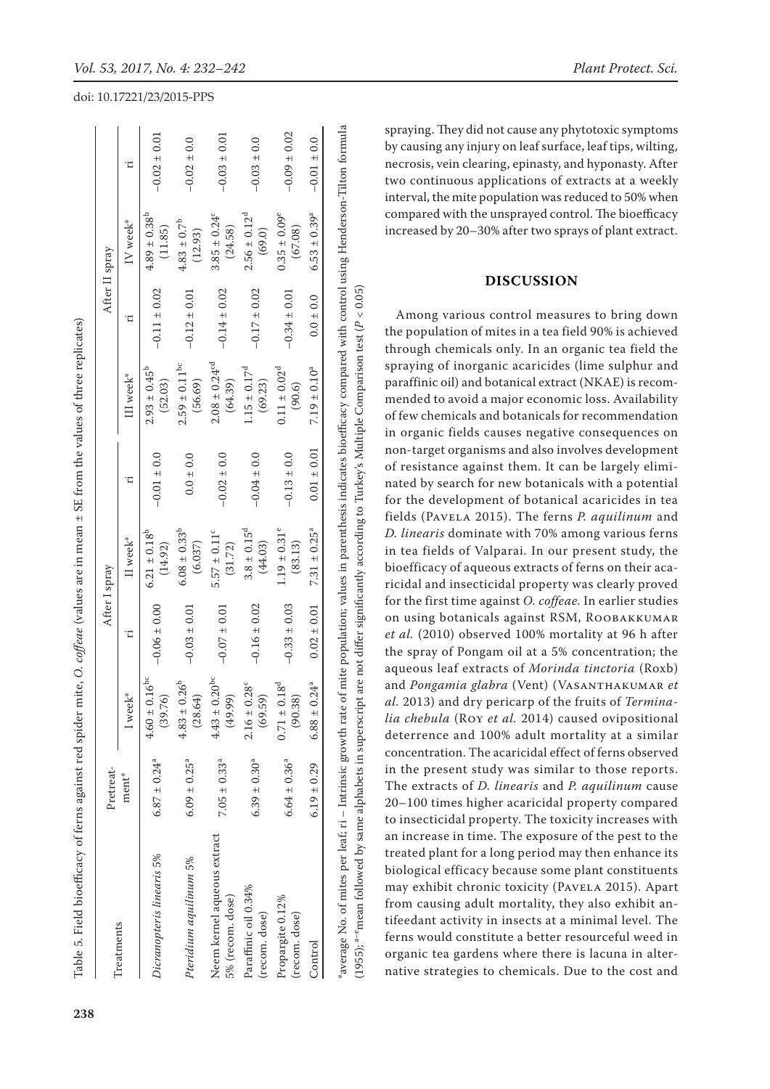| ۱<br>j              |
|---------------------|
|                     |
| ś                   |
|                     |
|                     |
|                     |
| i                   |
|                     |
|                     |
|                     |
|                     |
|                     |
|                     |
|                     |
|                     |
|                     |
|                     |
|                     |
|                     |
|                     |
|                     |
|                     |
|                     |
|                     |
|                     |
| j                   |
|                     |
| í                   |
|                     |
|                     |
|                     |
|                     |
| ן<br>י              |
| . CE face<br>ן<br>כ |
|                     |
| l                   |
|                     |
| $\sum_{i=1}^{n}$    |
|                     |
|                     |
|                     |
|                     |
|                     |
| ì                   |
|                     |
|                     |
|                     |
|                     |
|                     |
|                     |
|                     |
| j                   |
|                     |
|                     |
|                     |
|                     |
|                     |
|                     |
|                     |
|                     |
|                     |
|                     |
| ₹<br>ï              |
|                     |
|                     |
|                     |
|                     |
|                     |
|                     |
|                     |
| $\frac{1}{2}$       |
|                     |
| <b>.</b><br>.       |
|                     |
|                     |
|                     |
|                     |
| l                   |
| į                   |
|                     |
|                     |
|                     |
|                     |
|                     |
| ì                   |
|                     |
|                     |
|                     |
| ļ                   |
|                     |
|                     |
|                     |
|                     |
|                     |
|                     |
|                     |
|                     |
|                     |
| i<br>.              |
|                     |
|                     |
|                     |
|                     |
|                     |
| Ş                   |
|                     |
| į                   |
|                     |
|                     |
|                     |
|                     |
|                     |
|                     |
|                     |
| I                   |
|                     |
|                     |
|                     |
| 1                   |
|                     |
|                     |
| Table<br>F          |

|                                                 | Pretreat-                    |                                              |                  | After I spray                           |                 |                                        | After II spray   |                                |                  |
|-------------------------------------------------|------------------------------|----------------------------------------------|------------------|-----------------------------------------|-----------------|----------------------------------------|------------------|--------------------------------|------------------|
| Treatments                                      | ment <sup>*</sup>            | I weel                                       |                  | II week*                                | Ε               | III week*                              | Έ                | IV week*                       | Ë                |
| Dicranopteris linearis 5%                       | $6.87 \pm 0.24$ <sup>a</sup> | $16^{bc}$<br>$4.60 \pm 0.$<br>(39.76         | $-0.06 \pm 0.00$ | $6.21 \pm 0.18^{b}$<br>(14.92)          | $-0.01 \pm 0.0$ | $2.93 \pm 0.45^{\circ}$<br>(52.03)     | $-0.11 \pm 0.02$ | $4.89 \pm 0.38^{b}$<br>(11.85) | $-0.02 \pm 0.01$ |
| Pteridium aquilinum 5%                          | $6.09 \pm 0.25$ <sup>a</sup> | .26 <sup>b</sup><br>$4.83 \pm 0.$<br>(28.64) | $-0.03 \pm 0.01$ | $6.08 \pm 0.33^{b}$<br>(6.037)          | $0.0 \pm 0.0$   | $2.59 \pm 0.11$ bc<br>(56.69)          | $-0.12 \pm 0.01$ | $4.83 \pm 0.7^{b}$<br>(12.93)  | $-0.02 \pm 0.0$  |
| Neem kernel aqueous extract<br>5% (recom. dose) | $7.05 \pm 0.33$ <sup>a</sup> | $.20^{bc}$<br>$4.43 \pm 0.$<br>(49.99)       | $-0.07 \pm 0.01$ | $5.57 \pm 0.11^c$<br>(31.72)            | $-0.02 \pm 0.0$ | $2.08 \pm 0.24^{\text{cd}}$<br>(64.39) | $-0.14 \pm 0.02$ | $3.85 \pm 0.24^c$<br>(24.58)   | $-0.03 \pm 0.01$ |
| Paraffinic oil 0.34%<br>(recom. dose)           | $6.39 \pm 0.30^a$            | 28 <sup>c</sup><br>$2.16 \pm 0.$<br>(69.59)  | $-0.16 \pm 0.02$ | $3.8 \pm 0.15^{d}$<br>(44.03)           | $-0.04 \pm 0.0$ | $1.15 \pm 0.17^d$<br>(69.23)           | $-0.17 \pm 0.02$ | $2.56 \pm 0.12^d$<br>(69.0)    | $-0.03 \pm 0.0$  |
| Propargite 0.12%<br>(recom. dose)               | $6.64 \pm 0.36^{a}$          | $0.71 \pm 0.18$ <sup>d</sup><br>(90.38)      | $-0.33 \pm 0.03$ | $1.19 \pm 0.31$ <sup>e</sup><br>(83.13) | $-0.13 \pm 0.0$ | $0.11 \pm 0.02^d$<br>(90.6)            | $-0.34 \pm 0.01$ | $0.35 \pm 0.09^e$<br>(67.08)   | $-0.09 \pm 0.02$ |
| Control                                         | $6.19 \pm 0.29$              | $6.88 \pm 0.24$ <sup>a</sup>                 | $0.02 \pm 0.01$  | $7.31 \pm 0.25$ <sup>a</sup>            | $0.01 \pm 0.01$ | $7.19 \pm 0.10^a$                      | $0.0 \pm 0.0$    | $6.53 \pm 0.39$ <sup>a</sup>   | $-0.01 \pm 0.0$  |

(1955); a–emean followed by same alphabets in superscript are not differ significantly according to Turkey's Multiple Comparison test (*P* < 0.05)

1955); <sup>a-e</sup>mean followed by same alphabets in superscript are not differ significantly according to Turkey's Multiple Comparison test (P < 0.05)

spraying. They did not cause any phytotoxic symptoms by causing any injury on leaf surface, leaf tips, wilting, necrosis, vein clearing, epinasty, and hyponasty. After two continuous applications of extracts at a weekly interval, the mite population was reduced to 50% when compared with the unsprayed control. The bioefficacy increased by 20–30% after two sprays of plant extract.

# **Discussion**

Among various control measures to bring down the population of mites in a tea field 90% is achieved through chemicals only. In an organic tea field the spraying of inorganic acaricides (lime sulphur and paraffinic oil) and botanical extract (NKAE) is recommended to avoid a major economic loss. Availability of few chemicals and botanicals for recommendation in organic fields causes negative consequences on non-target organisms and also involves development of resistance against them. It can be largely eliminated by search for new botanicals with a potential for the development of botanical acaricides in tea fields (Pavela 2015). The ferns *P. aquilinum* and *D. linearis* dominate with 70% among various ferns in tea fields of Valparai. In our present study, the bioefficacy of aqueous extracts of ferns on their acaricidal and insecticidal property was clearly proved for the first time against *O. coffeae.* In earlier studies on using botanicals against RSM, Roobakkumar *et al.* (2010) observed 100% mortality at 96 h after the spray of Pongam oil at a 5% concentration; the aqueous leaf extracts of *Morinda tinctoria* (Roxb) and *Pongamia glabra* (Vent) (Vasanthakumar *et al.* 2013) and dry pericarp of the fruits of *Terminalia chebula* (Roy *et al.* 2014) caused ovipositional deterrence and 100% adult mortality at a similar concentration. The acaricidal effect of ferns observed in the present study was similar to those reports. The extracts of *D. linearis* and *P. aquilinum* cause 20–100 times higher acaricidal property compared to insecticidal property. The toxicity increases with an increase in time. The exposure of the pest to the treated plant for a long period may then enhance its biological efficacy because some plant constituents may exhibit chronic toxicity (Pavela 2015). Apart from causing adult mortality, they also exhibit antifeedant activity in insects at a minimal level. The ferns would constitute a better resourceful weed in organic tea gardens where there is lacuna in alternative strategies to chemicals. Due to the cost and

## doi: 10.17221/23/2015-PPS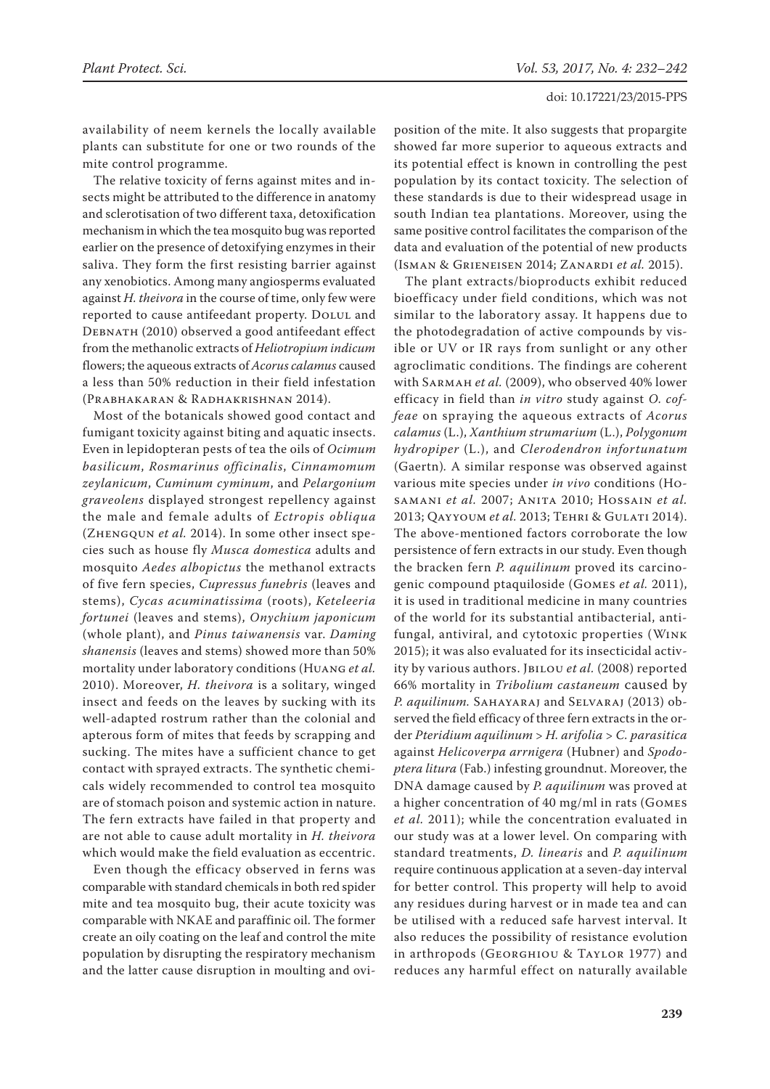availability of neem kernels the locally available plants can substitute for one or two rounds of the mite control programme.

The relative toxicity of ferns against mites and insects might be attributed to the difference in anatomy and sclerotisation of two different taxa, detoxification mechanism in which the tea mosquito bug was reported earlier on the presence of detoxifying enzymes in their saliva. They form the first resisting barrier against any xenobiotics. Among many angiosperms evaluated against *H. theivora* in the course of time, only few were reported to cause antifeedant property. DOLUL and DEBNATH (2010) observed a good antifeedant effect from the methanolic extracts of *Heliotropium indicum*  flowers; the aqueous extracts of *Acorus calamus* caused a less than 50% reduction in their field infestation (Prabhakaran & Radhakrishnan 2014).

Most of the botanicals showed good contact and fumigant toxicity against biting and aquatic insects. Even in lepidopteran pests of tea the oils of *Ocimum basilicum*, *Rosmarinus officinalis*, *Cinnamomum zeylanicum*, *Cuminum cyminum*, and *Pelargonium graveolens* displayed strongest repellency against the male and female adults of *Ectropis obliqua* (Zhengqun *et al.* 2014). In some other insect species such as house fly *Musca domestica* adults and mosquito *Aedes albopictus* the methanol extracts of five fern species, *Cupressus funebris* (leaves and stems), *Cycas acuminatissima* (roots), *Keteleeria fortunei* (leaves and stems), *Onychium japonicum* (whole plant), and *Pinus taiwanensis* var. *Daming shanensis* (leaves and stems) showed more than 50% mortality under laboratory conditions (Huang *et al.* 2010). Moreover, *H. theivora* is a solitary, winged insect and feeds on the leaves by sucking with its well-adapted rostrum rather than the colonial and apterous form of mites that feeds by scrapping and sucking. The mites have a sufficient chance to get contact with sprayed extracts. The synthetic chemicals widely recommended to control tea mosquito are of stomach poison and systemic action in nature. The fern extracts have failed in that property and are not able to cause adult mortality in *H. theivora* which would make the field evaluation as eccentric.

Even though the efficacy observed in ferns was comparable with standard chemicals in both red spider mite and tea mosquito bug, their acute toxicity was comparable with NKAE and paraffinic oil. The former create an oily coating on the leaf and control the mite population by disrupting the respiratory mechanism and the latter cause disruption in moulting and ovi-

position of the mite. It also suggests that propargite showed far more superior to aqueous extracts and its potential effect is known in controlling the pest population by its contact toxicity. The selection of these standards is due to their widespread usage in south Indian tea plantations. Moreover, using the same positive control facilitates the comparison of the data and evaluation of the potential of new products (Isman & Grieneisen 2014; Zanardi *et al.* 2015).

The plant extracts/bioproducts exhibit reduced bioefficacy under field conditions, which was not similar to the laboratory assay. It happens due to the photodegradation of active compounds by visible or UV or IR rays from sunlight or any other agroclimatic conditions. The findings are coherent with Sarmah *et al.* (2009), who observed 40% lower efficacy in field than *in vitro* study against *O. coffeae* on spraying the aqueous extracts of *Acorus calamus* (L.), *Xanthium strumarium* (L.), *Polygonum hydropiper* (L.), and *Clerodendron infortunatum*  (Gaertn)*.* A similar response was observed against various mite species under *in vivo* conditions (Hosamani *et al.* 2007; Anita 2010; Hossain *et al.* 2013; Qayyoum *et al.* 2013; Tehri & Gulati 2014). The above-mentioned factors corroborate the low persistence of fern extracts in our study. Even though the bracken fern *P. aquilinum* proved its carcinogenic compound ptaquiloside (Gomes *et al.* 2011), it is used in traditional medicine in many countries of the world for its substantial antibacterial, antifungal, antiviral, and cytotoxic properties (Wink 2015); it was also evaluated for its insecticidal activity by various authors. Jbilou *et al.* (2008) reported 66% mortality in *Tribolium castaneum* caused by P. aquilinum. SAHAYARAJ and SELVARAJ (2013) observed the field efficacy of three fern extracts in the order *Pteridium aquilinum* > *H. arifolia* > *C. parasitica* against *Helicoverpa arrnigera* (Hubner) and *Spodoptera litura* (Fab.) infesting groundnut. Moreover, the DNA damage caused by *P. aquilinum* was proved at a higher concentration of 40 mg/ml in rats (Gomes *et al.* 2011); while the concentration evaluated in our study was at a lower level. On comparing with standard treatments, *D. linearis* and *P. aquilinum* require continuous application at a seven-day interval for better control. This property will help to avoid any residues during harvest or in made tea and can be utilised with a reduced safe harvest interval. It also reduces the possibility of resistance evolution in arthropods (Georghiou & Taylor 1977) and reduces any harmful effect on naturally available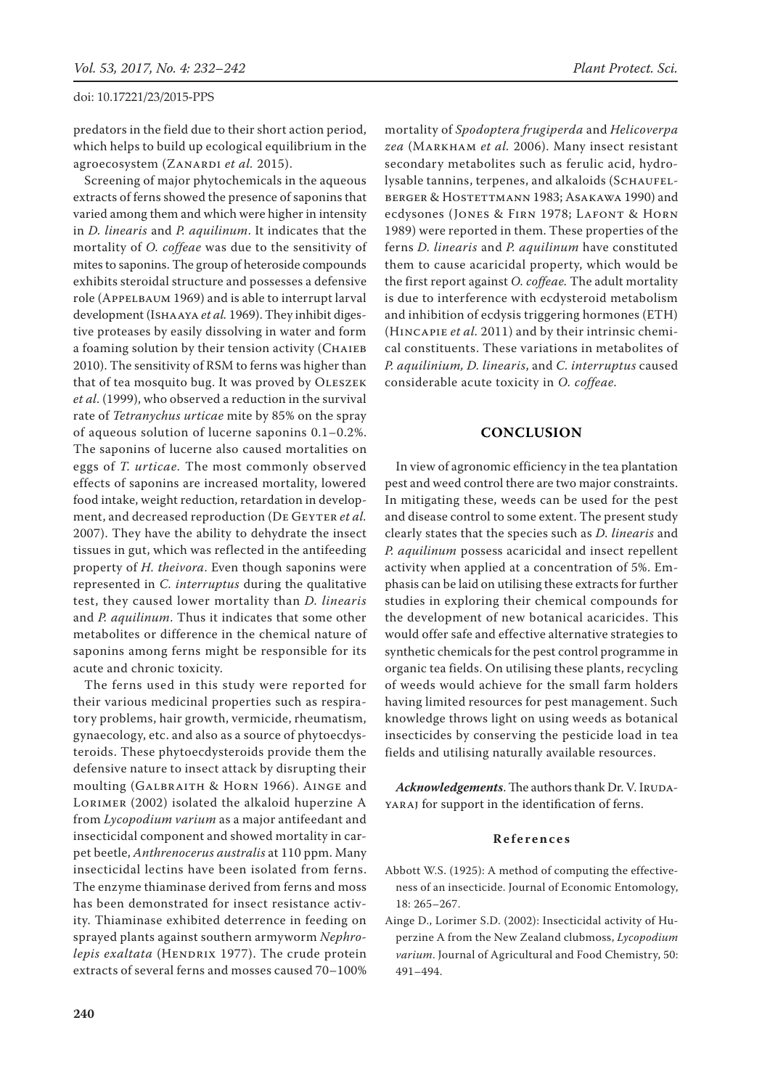predators in the field due to their short action period, which helps to build up ecological equilibrium in the agroecosystem (ZANARDI et al. 2015).

Screening of major phytochemicals in the aqueous extracts of ferns showed the presence of saponins that varied among them and which were higher in intensity in *D. linearis* and *P. aquilinum*. It indicates that the mortality of *O. coffeae* was due to the sensitivity of mites to saponins. The group of heteroside compounds exhibits steroidal structure and possesses a defensive role (Аррецваим 1969) and is able to interrupt larval development (Ishaaya *et al.* 1969). They inhibit digestive proteases by easily dissolving in water and form a foaming solution by their tension activity (CHAIEB 2010). The sensitivity of RSM to ferns was higher than that of tea mosquito bug. It was proved by OLESZEK *et al*. (1999), who observed a reduction in the survival rate of *Tetranychus urticae* mite by 85% on the spray of aqueous solution of lucerne saponins 0.1–0.2%. The saponins of lucerne also caused mortalities on eggs of *T. urticae.* The most commonly observed effects of saponins are increased mortality, lowered food intake, weight reduction, retardation in development, and decreased reproduction (DE GEYTER et al. 2007). They have the ability to dehydrate the insect tissues in gut, which was reflected in the antifeeding property of *H. theivora*. Even though saponins were represented in *C. interruptus* during the qualitative test, they caused lower mortality than *D. linearis*  and *P. aquilinum*. Thus it indicates that some other metabolites or difference in the chemical nature of saponins among ferns might be responsible for its acute and chronic toxicity.

The ferns used in this study were reported for their various medicinal properties such as respiratory problems, hair growth, vermicide, rheumatism, gynaecology, etc. and also as a source of phytoecdysteroids. These phytoecdysteroids provide them the defensive nature to insect attack by disrupting their moulting (Galbraith & Horn 1966). Ainge and Lorimer (2002) isolated the alkaloid huperzine A from *Lycopodium varium* as a major antifeedant and insecticidal component and showed mortality in carpet beetle, *Anthrenocerus australis* at 110 ppm. Many insecticidal lectins have been isolated from ferns. The enzyme thiaminase derived from ferns and moss has been demonstrated for insect resistance activity. Thiaminase exhibited deterrence in feeding on sprayed plants against southern armyworm *Nephrolepis exaltata* (HENDRIX 1977). The crude protein extracts of several ferns and mosses caused 70–100%

mortality of *Spodoptera frugiperda* and *Helicoverpa zea* (Markham *et al.* 2006). Many insect resistant secondary metabolites such as ferulic acid, hydrolysable tannins, terpenes, and alkaloids (SCHAUFELberger & Hostettmann 1983; Asakawa 1990) and ecdysones (JONES & FIRN 1978; LAFONT & HORN 1989) were reported in them. These properties of the ferns *D. linearis* and *P. aquilinum* have constituted them to cause acaricidal property, which would be the first report against *O. coffeae.* The adult mortality is due to interference with ecdysteroid metabolism and inhibition of ecdysis triggering hormones (ETH) (Hincapie *et al.* 2011) and by their intrinsic chemical constituents. These variations in metabolites of *P. aquilinium, D. linearis*, and *C. interruptus* caused considerable acute toxicity in *O. coffeae.*

# **Conclusion**

In view of agronomic efficiency in the tea plantation pest and weed control there are two major constraints. In mitigating these, weeds can be used for the pest and disease control to some extent. The present study clearly states that the species such as *D. linearis* and *P. aquilinum* possess acaricidal and insect repellent activity when applied at a concentration of 5%. Emphasis can be laid on utilising these extracts for further studies in exploring their chemical compounds for the development of new botanical acaricides. This would offer safe and effective alternative strategies to synthetic chemicals for the pest control programme in organic tea fields. On utilising these plants, recycling of weeds would achieve for the small farm holders having limited resources for pest management. Such knowledge throws light on using weeds as botanical insecticides by conserving the pesticide load in tea fields and utilising naturally available resources.

Acknowledgements. The authors thank Dr. V. IRUDA-YARAJ for support in the identification of ferns.

#### **References**

- Abbott W.S. (1925): A method of computing the effectiveness of an insecticide. Journal of Economic Entomology, 18: 265–267.
- Ainge D., Lorimer S.D. (2002): Insecticidal activity of Huperzine A from the New Zealand clubmoss, *Lycopodium varium*. Journal of Agricultural and Food Chemistry, 50: 491–494.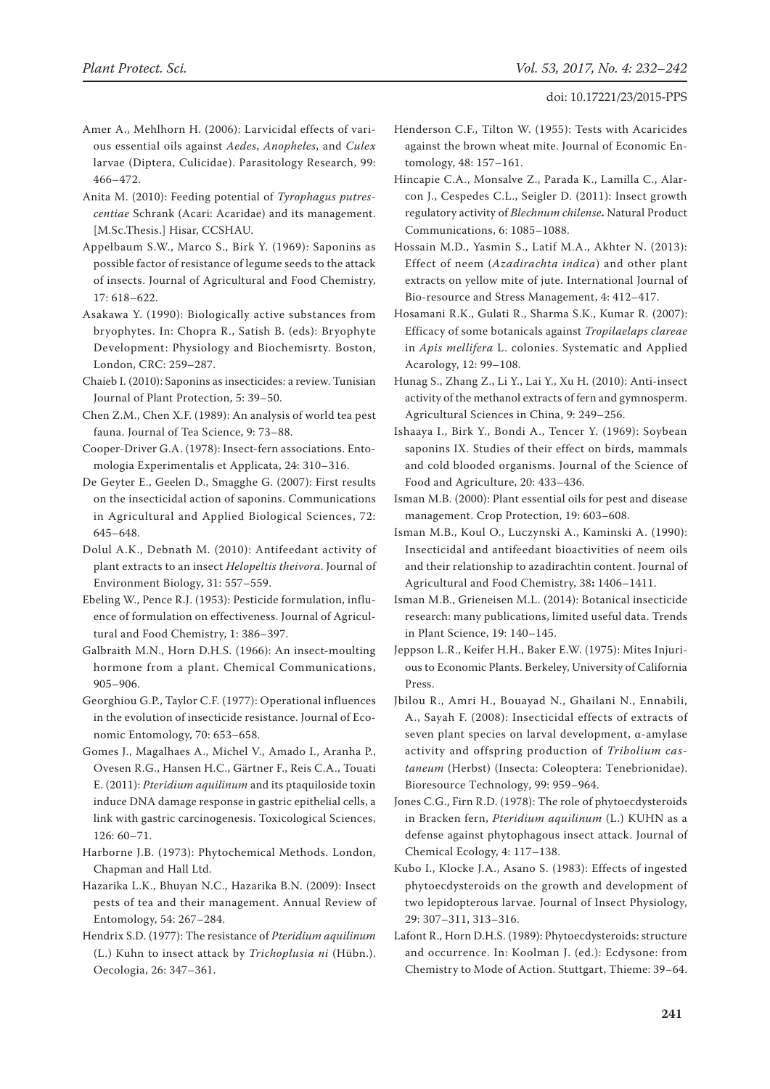- Amer A., Mehlhorn H. (2006): Larvicidal effects of various essential oils against *Aedes*, *Anopheles*, and *Culex* larvae (Diptera, Culicidae). Parasitology Research, 99: 466–472.
- Anita M. (2010): Feeding potential of *Tyrophagus putrescentiae* Schrank (Acari: Acaridae) and its management. [M.Sc.Thesis.] Hisar, CCSHAU.
- Appelbaum S.W., Marco S., Birk Y. (1969): Saponins as possible factor of resistance of legume seeds to the attack of insects. Journal of Agricultural and Food Chemistry, 17: 618–622.
- Asakawa Y. (1990): Biologically active substances from bryophytes. In: Chopra R., Satish B. (eds): Bryophyte Development: Physiology and Biochemisrty. Boston, London, CRC: 259–287.
- Chaieb I. (2010): Saponins as insecticides: a review. Tunisian Journal of Plant Protection, 5: 39–50.
- Chen Z.M., Chen X.F. (1989): An analysis of world tea pest fauna. Journal of Tea Science, 9: 73–88.
- Cooper-Driver G.A. (1978): Insect-fern associations. Entomologia Experimentalis et Applicata, 24: 310–316.
- De Geyter E., Geelen D., Smagghe G. (2007): First results on the insecticidal action of saponins. Communications in Agricultural and Applied Biological Sciences, 72: 645–648.
- Dolul A.K., Debnath M. (2010): Antifeedant activity of plant extracts to an insect *Helopeltis theivora*. Journal of Environment Biology, 31: 557–559.
- Ebeling W., Pence R.J. (1953): Pesticide formulation, influence of formulation on effectiveness. Journal of Agricultural and Food Chemistry, 1: 386–397.
- Galbraith M.N., Horn D.H.S. (1966): An insect-moulting hormone from a plant. Chemical Communications, 905–906.
- Georghiou G.P., Taylor C.F. (1977): Operational influences in the evolution of insecticide resistance. Journal of Economic Entomology, 70: 653–658.
- Gomes J., Magalhaes A., Michel V., Amado I., Aranha P., Ovesen R.G., Hansen H.C., Gärtner F., Reis C.A., Touati E. (2011): *Pteridium aquilinum* and its ptaquiloside toxin induce DNA damage response in gastric epithelial cells, a link with gastric carcinogenesis. Toxicological Sciences, 126: 60–71.
- Harborne J.B. (1973): Phytochemical Methods. London, Chapman and Hall Ltd.
- Hazarika L.K., Bhuyan N.C., Hazarika B.N. (2009): Insect pests of tea and their management. Annual Review of Entomology, 54: 267–284.
- Hendrix S.D. (1977): The resistance of *Pteridium aquilinum* (L.) Kuhn to insect attack by *Trichoplusia ni* (Hübn.). Oecologia, 26: 347–361.
- Henderson C.F., Tilton W. (1955): Tests with Acaricides against the brown wheat mite. Journal of Economic Entomology, 48: 157–161.
- Hincapie C.A., Monsalve Z., Parada K., Lamilla C., Alarcon J., Cespedes C.L., Seigler D. (2011): Insect growth regulatory activity of *Blechnum chilense***.** Natural Product Communications, 6: 1085–1088.
- Hossain M.D., Yasmin S., Latif M.A., Akhter N. (2013): Effect of neem (*Azadirachta indica*) and other plant extracts on yellow mite of jute. International Journal of Bio-resource and Stress Management, 4: 412–417.
- Hosamani R.K., Gulati R., Sharma S.K., Kumar R. (2007): Efficacy of some botanicals against *Tropilaelaps clareae* in *Apis mellifera* L. colonies. Systematic and Applied Acarology, 12: 99–108.
- Hunag S., Zhang Z., Li Y., Lai Y., Xu H. (2010): Anti-insect activity of the methanol extracts of fern and gymnosperm. Agricultural Sciences in China, 9: 249–256.
- Ishaaya I., Birk Y., Bondi A., Tencer Y. (1969): Soybean saponins IX. Studies of their effect on birds, mammals and cold blooded organisms. Journal of the Science of Food and Agriculture, 20: 433–436.
- Isman M.B. (2000): Plant essential oils for pest and disease management. Crop Protection, 19: 603–608.
- Isman M.B., Koul O., Luczynski A., Kaminski A. (1990): Insecticidal and antifeedant bioactivities of neem oils and their relationship to azadirachtin content. Journal of Agricultural and Food Chemistry, 38**:** 1406–1411.
- Isman M.B., Grieneisen M.L. (2014): Botanical insecticide research: many publications, limited useful data. Trends in Plant Science, 19: 140–145.
- Jeppson L.R., Keifer H.H., Baker E.W. (1975): Mites Injurious to Economic Plants. Berkeley, University of California Press.
- Jbilou R., Amri H., Bouayad N., Ghailani N., Ennabili, A., Sayah F. (2008): Insecticidal effects of extracts of seven plant species on larval development, α-amylase activity and offspring production of *Tribolium castaneum* (Herbst) (Insecta: Coleoptera: Tenebrionidae). Bioresource Technology, 99: 959–964.
- Jones C.G., Firn R.D. (1978): The role of phytoecdysteroids in Bracken fern, *Pteridium aquilinum* (L.) KUHN as a defense against phytophagous insect attack. Journal of Chemical Ecology, 4: 117–138.
- Kubo I., Klocke J.A., Asano S. (1983): Effects of ingested phytoecdysteroids on the growth and development of two lepidopterous larvae. Journal of Insect Physiology, 29: 307–311, 313–316.
- Lafont R., Horn D.H.S. (1989): Phytoecdysteroids: structure and occurrence. In: Koolman J. (ed.): Ecdysone: from Chemistry to Mode of Action. Stuttgart, Thieme: 39–64.